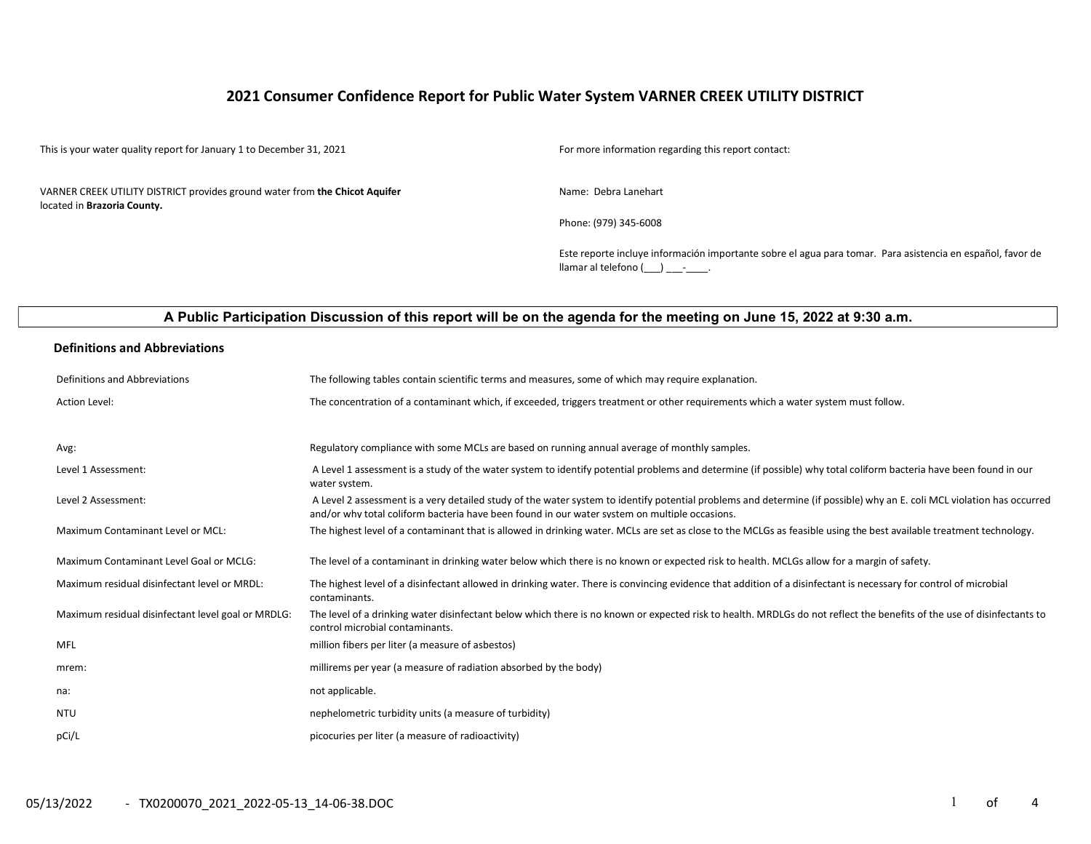## 2021 Consumer Confidence Report for Public Water System VARNER CREEK UTILITY DISTRICT

This is your water quality report for January 1 to December 31, 2021 For more information regarding this report contact:

VARNER CREEK UTILITY DISTRICT provides ground water from the Chicot Aquifer located in Brazoria County.

Name: Debra Lanehart

Phone: (979) 345-6008

Este reporte incluye información importante sobre el agua para tomar. Para asistencia en español, favor de llamar al telefono  $(\_\_\_\_\_\_$ 

## A Public Participation Discussion of this report will be on the agenda for the meeting on June 15, 2022 at 9:30 a.m.

#### Definitions and Abbreviations

| Definitions and Abbreviations                      | The following tables contain scientific terms and measures, some of which may require explanation.                                                                                                                                                                      |
|----------------------------------------------------|-------------------------------------------------------------------------------------------------------------------------------------------------------------------------------------------------------------------------------------------------------------------------|
| Action Level:                                      | The concentration of a contaminant which, if exceeded, triggers treatment or other requirements which a water system must follow.                                                                                                                                       |
|                                                    |                                                                                                                                                                                                                                                                         |
| Avg:                                               | Regulatory compliance with some MCLs are based on running annual average of monthly samples.                                                                                                                                                                            |
| Level 1 Assessment:                                | A Level 1 assessment is a study of the water system to identify potential problems and determine (if possible) why total coliform bacteria have been found in our<br>water system.                                                                                      |
| Level 2 Assessment:                                | A Level 2 assessment is a very detailed study of the water system to identify potential problems and determine (if possible) why an E. coli MCL violation has occurred<br>and/or why total coliform bacteria have been found in our water system on multiple occasions. |
| Maximum Contaminant Level or MCL:                  | The highest level of a contaminant that is allowed in drinking water. MCLs are set as close to the MCLGs as feasible using the best available treatment technology.                                                                                                     |
| Maximum Contaminant Level Goal or MCLG:            | The level of a contaminant in drinking water below which there is no known or expected risk to health. MCLGs allow for a margin of safety.                                                                                                                              |
| Maximum residual disinfectant level or MRDL:       | The highest level of a disinfectant allowed in drinking water. There is convincing evidence that addition of a disinfectant is necessary for control of microbial<br>contaminants.                                                                                      |
| Maximum residual disinfectant level goal or MRDLG: | The level of a drinking water disinfectant below which there is no known or expected risk to health. MRDLGs do not reflect the benefits of the use of disinfectants to<br>control microbial contaminants.                                                               |
| MFL                                                | million fibers per liter (a measure of asbestos)                                                                                                                                                                                                                        |
| mrem:                                              | millirems per year (a measure of radiation absorbed by the body)                                                                                                                                                                                                        |
| na:                                                | not applicable.                                                                                                                                                                                                                                                         |
| <b>NTU</b>                                         | nephelometric turbidity units (a measure of turbidity)                                                                                                                                                                                                                  |
| pCi/L                                              | picocuries per liter (a measure of radioactivity)                                                                                                                                                                                                                       |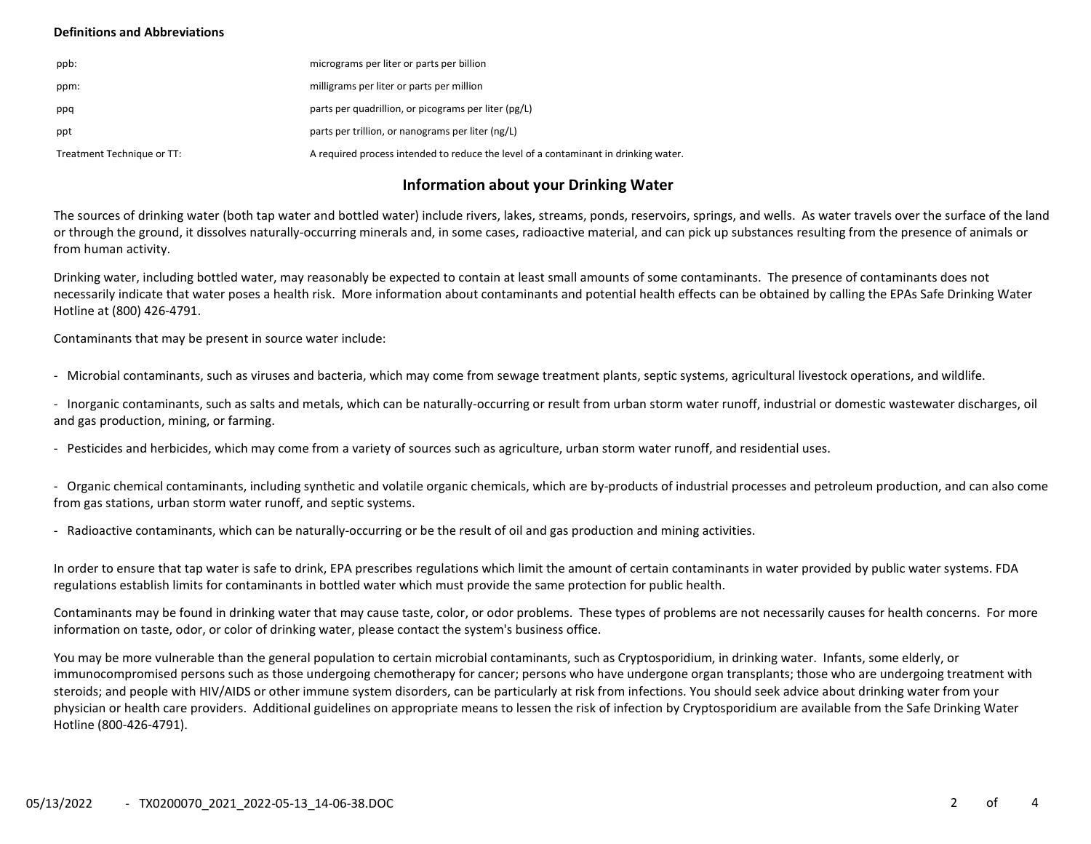### Definitions and Abbreviations

| ppb:                       | micrograms per liter or parts per billion                                           |
|----------------------------|-------------------------------------------------------------------------------------|
| ppm:                       | milligrams per liter or parts per million                                           |
| ppq                        | parts per quadrillion, or picograms per liter (pg/L)                                |
| ppt                        | parts per trillion, or nanograms per liter (ng/L)                                   |
| Treatment Technique or TT: | A required process intended to reduce the level of a contaminant in drinking water. |

## Information about your Drinking Water

The sources of drinking water (both tap water and bottled water) include rivers, lakes, streams, ponds, reservoirs, springs, and wells. As water travels over the surface of the land or through the ground, it dissolves naturally-occurring minerals and, in some cases, radioactive material, and can pick up substances resulting from the presence of animals or from human activity.

Drinking water, including bottled water, may reasonably be expected to contain at least small amounts of some contaminants. The presence of contaminants does not necessarily indicate that water poses a health risk. More information about contaminants and potential health effects can be obtained by calling the EPAs Safe Drinking Water Hotline at (800) 426-4791.

Contaminants that may be present in source water include:

- Microbial contaminants, such as viruses and bacteria, which may come from sewage treatment plants, septic systems, agricultural livestock operations, and wildlife.

- Inorganic contaminants, such as salts and metals, which can be naturally-occurring or result from urban storm water runoff, industrial or domestic wastewater discharges, oil and gas production, mining, or farming.

- Pesticides and herbicides, which may come from a variety of sources such as agriculture, urban storm water runoff, and residential uses.

- Organic chemical contaminants, including synthetic and volatile organic chemicals, which are by-products of industrial processes and petroleum production, and can also come from gas stations, urban storm water runoff, and septic systems.

- Radioactive contaminants, which can be naturally-occurring or be the result of oil and gas production and mining activities.

In order to ensure that tap water is safe to drink, EPA prescribes regulations which limit the amount of certain contaminants in water provided by public water systems. FDA regulations establish limits for contaminants in bottled water which must provide the same protection for public health.

Contaminants may be found in drinking water that may cause taste, color, or odor problems. These types of problems are not necessarily causes for health concerns. For more information on taste, odor, or color of drinking water, please contact the system's business office.

You may be more vulnerable than the general population to certain microbial contaminants, such as Cryptosporidium, in drinking water. Infants, some elderly, or immunocompromised persons such as those undergoing chemotherapy for cancer; persons who have undergone organ transplants; those who are undergoing treatment with steroids; and people with HIV/AIDS or other immune system disorders, can be particularly at risk from infections. You should seek advice about drinking water from your physician or health care providers. Additional guidelines on appropriate means to lessen the risk of infection by Cryptosporidium are available from the Safe Drinking Water Hotline (800-426-4791).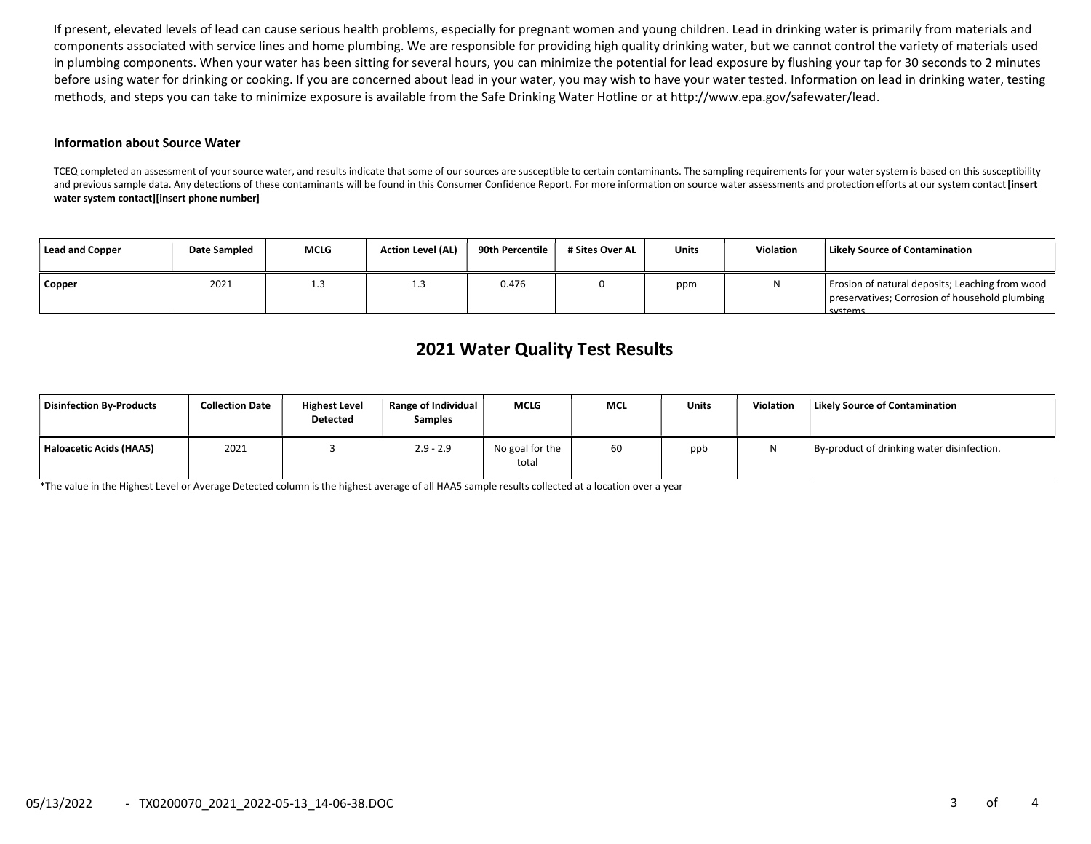If present, elevated levels of lead can cause serious health problems, especially for pregnant women and young children. Lead in drinking water is primarily from materials and components associated with service lines and home plumbing. We are responsible for providing high quality drinking water, but we cannot control the variety of materials used in plumbing components. When your water has been sitting for several hours, you can minimize the potential for lead exposure by flushing your tap for 30 seconds to 2 minutes before using water for drinking or cooking. If you are concerned about lead in your water, you may wish to have your water tested. Information on lead in drinking water, testing methods, and steps you can take to minimize exposure is available from the Safe Drinking Water Hotline or at http://www.epa.gov/safewater/lead.

#### Information about Source Water

TCEQ completed an assessment of your source water, and results indicate that some of our sources are susceptible to certain contaminants. The sampling requirements for your water system is based on this susceptibility and previous sample data. Any detections of these contaminants will be found in this Consumer Confidence Report. For more information on source water assessments and protection efforts at our system contact [insert water system contact][insert phone number]

| Lead and Copper | <b>Date Sampled</b> | <b>MCLG</b> | <b>Action Level (AL)</b> | 90th Percentile | # Sites Over AL | <b>Units</b> | <b>Violation</b> | Likely Source of Contamination                                                                                      |
|-----------------|---------------------|-------------|--------------------------|-----------------|-----------------|--------------|------------------|---------------------------------------------------------------------------------------------------------------------|
| <b>Copper</b>   | 2021                | ⊥.J         | 1.3                      | 0.476           |                 | ppm          |                  | Erosion of natural deposits; Leaching from wood<br>preservatives; Corrosion of household plumbing<br><b>Cyctoms</b> |

# 2021 Water Quality Test Results

| Disinfection By-Products | <b>Collection Date</b> | <b>Highest Level</b><br><b>Detected</b> | Range of Individual<br><b>Samples</b> | <b>MCLG</b>              | <b>MCL</b> | Units | Violation | <b>Likely Source of Contamination</b>      |
|--------------------------|------------------------|-----------------------------------------|---------------------------------------|--------------------------|------------|-------|-----------|--------------------------------------------|
| Haloacetic Acids (HAA5)  | 2021                   |                                         | $2.9 - 2.9$                           | No goal for the<br>total | 60         | ppb   |           | By-product of drinking water disinfection. |

\*The value in the Highest Level or Average Detected column is the highest average of all HAA5 sample results collected at a location over a year